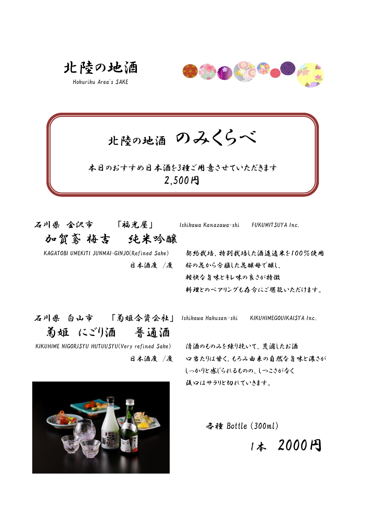北陸の地酒

Hokuriku Area's SAKE



北陸の地酒 のみくらべ

2,500円 本日のおすすめ日本酒を3種ご用意させていただきます

 石川県 金沢市 「福光屋」 Ishikawa Kanazawa-shi FUKUMITSUYA Inc. 加賀鳶 梅吉 純米吟醸

 KAGATOBI UMEKITI JUNMAI-GINJO(Refined Sake) 契約栽培、特別栽培した酒造適米を100%使用 日本酒度 /度 桜の花から分離した花醸母で醸し、 軽快な旨味とキレ味の良さが特徴 料理とのペアリングも存分にご堪能いただけます。

 KIKUHIME NIGORISYU HUTUUSYU(Very refined Sake) 清酒のものみを練り挽いて、荒濾したお酒 日本酒度 /度 ロ当たりは甘く、もろみ由来の自然な旨味と濃さが しっかりと感じられるものの、しつこさがなく 後口はサラリと切れていきます。

各種 Bottle (300ml)

1本 2000円

 石川県 白山市 「菊姫合資会社」 Ishikawa Hakusan-shi KIKUHIMEGOUIKAISYA Inc. 菊姫 にごり酒 普通酒

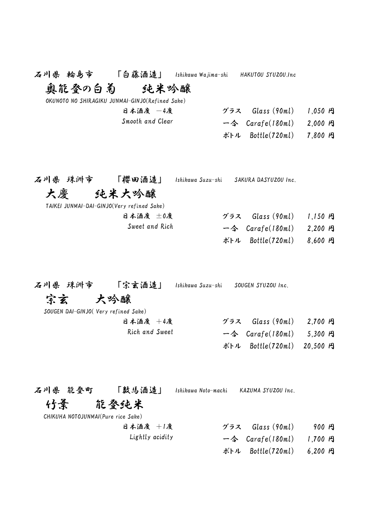| 石川県 輪島市 「白藤酒造」 Ishikawa Wajima-shi HAKUTOU SYUZOU.Inc                      |                                                 |  |                                                                                                                                                                    |                        |  |
|----------------------------------------------------------------------------|-------------------------------------------------|--|--------------------------------------------------------------------------------------------------------------------------------------------------------------------|------------------------|--|
| 奧能登の白菊――                                                                   | 纯米吟醸                                            |  |                                                                                                                                                                    |                        |  |
|                                                                            | OKUNOTO NO SHIRAGIKU JUNMAI-GINJO(Refined Sake) |  |                                                                                                                                                                    |                        |  |
|                                                                            | 日本酒度 一4度                                        |  | グラス Glass (90ml) 1,050 円                                                                                                                                           |                        |  |
|                                                                            | Smooth and Clear                                |  | $-\text{\LARGE $\Leftrightarrow$ Carafe(180ml)$                                                                                                                    | $2,000$ $P_1$          |  |
|                                                                            |                                                 |  | ボトル Bottle(720ml)                                                                                                                                                  | $7,800$ $P_1$          |  |
| 石川県 珠洲市 「櫻田酒造」<br>大慶   纯米大吟醸<br>TAIKEI JUNMAI-DAI-GINJO(Very refined Sake) | 日本酒度 土0度<br>Sweet and Rich                      |  | Ishikawa Suzu-shi     SAKURA DASYUZOU Inc.<br>グラス - Glass (90ml) - 1,150 円<br>$-\diamondsuit$ Carafe(180ml)<br>ボトル Bottle(720ml)                                   | $2,200$ 円<br>$8,600$ 円 |  |
| 石川県 珠洲市 「宗玄酒造」<br>宗玄 大吟醸<br>SOUGEN DAI-GINJO(Very refined Sake)            | 日本酒度 +4度<br>Rich and Sweet                      |  | Ishikawa Suzu-shi SOUGEN SYUZOU Inc.<br>グラス Glass (90ml) 2,700 円<br>$-\text{\LARGE $\diamond$}$ Carafe(180ml) 5,300 $\text{\LARGE }$<br>ボトル Bottle(720ml) 20,500 円 |                        |  |

石川県 能登町 「数馬酒造」 Ishikawa Noto-machi KAZUMA SYUZOU Inc.

## 竹葉 能登純米

CHIKUHA NOTOJUNMAI(Pure rice Sake)

| 日本酒度 +1度 | $\check{\mathcal{I}}$ $\exists$ $\lambda$ Glass (90ml) | 900 円 |
|----------|--------------------------------------------------------|-------|
|----------|--------------------------------------------------------|-------|

- Lightly acidity  $-\hat{\diamond}$  Carafe(180ml) 1,700  $\hat{H}$ 
	- ボトル Bottle(720ml) 6,200 円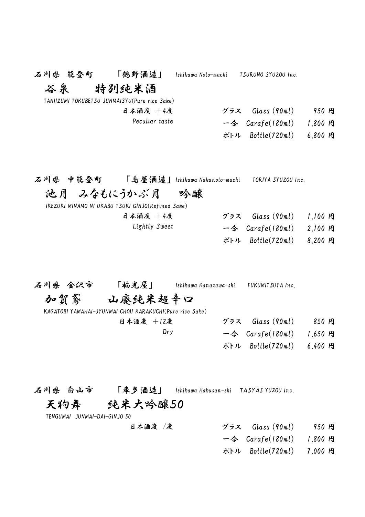| 石川県 能登町 「鹤野酒造」 |                                                         | Ishikawa Noto-machi TSURUNO SYUZOU Inc.                                       |  |
|----------------|---------------------------------------------------------|-------------------------------------------------------------------------------|--|
| 谷泉   特列纯米酒     |                                                         |                                                                               |  |
|                | TANIIZUMI TOKUBETSU JUNMAISYU(Pure rice Sake)           |                                                                               |  |
|                | 日本酒度 +4度                                                | グラス Glass (90ml) 950 円                                                        |  |
|                | Peculiar taste                                          | $-\text{\LARGE $\Leftrightarrow$ Carafe(180ml) 1,800 }\,$ $\text{\LARGE $P$}$ |  |
|                |                                                         | ボトル Bottle(720ml) 6,800 円                                                     |  |
|                |                                                         |                                                                               |  |
|                | 石川県 中能登町 「鸟屋酒造」Ishikawa Nakanoto-machi                  | TORIYA SYUZOU Inc.                                                            |  |
|                | 池月 みなもにうかぶ月 の吟醸                                         |                                                                               |  |
|                | IKEZUKI MINAMO NI UKABU TSUKI GINJO(Refined Sake)       |                                                                               |  |
|                | 日本酒度 +4度                                                | グラス Glass (90ml) 1,100 円                                                      |  |
|                | Lightly Sweet                                           | $-\text{\LARGE $\diamond$}$ Carafe(180ml) 2,100 $\text{\LARGE P}$             |  |
|                |                                                         | ボトル Bottle(720ml) 8,200 円                                                     |  |
|                |                                                         |                                                                               |  |
|                | 石川県 金沢市       「福光屋」       Ishikawa Kanazawa-shi         | FUKUMITSUYA Inc.                                                              |  |
|                | 加賀鸢 山廃纯米超辛口                                             |                                                                               |  |
|                | KAGATOBI YAMAHAI-JYUNMAI CHOU KARAKUCHI(Pure rice Sake) |                                                                               |  |
|                | 日本酒度 +12度                                               | グラス Glass $(90ml)$ 850 円                                                      |  |
|                | Dry                                                     | $-\text{\LARGE $\Leftrightarrow$}$ Carafe(180ml) 1,650 $\text{\LARGE $P$}$    |  |
|                |                                                         | ボトル Bottle(720ml) 6,400 円                                                     |  |
|                |                                                         |                                                                               |  |

石川県 白山市 「車多酒造」 Ishikawa Hakusan-shi TASYAS YUZOU Inc.

# 天狗舞 純米大吟醸50

TENGUMAI JUNMAI-DAI-GINJO 50

- 日本酒度 /度 ブラス Glass (90ml) 950 円
	- 一合 Carafe(180ml) 1,800 円
	- ボトル Bottle(720ml) 7,000 円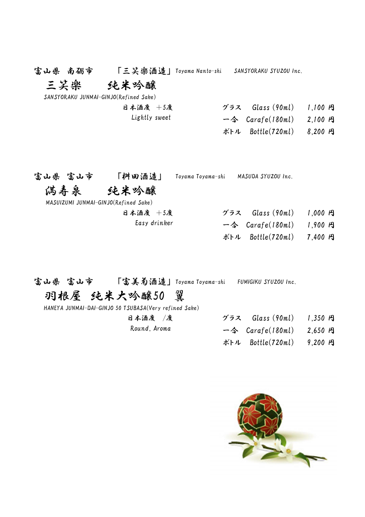富山県 南砺市 「三笑楽酒造」 Toyama Nanto-shi SANSYORAKU SYUZOU Inc.

## 三笑樂 纯米吟醸

SANSYORAKU JUNMAI-GINJO(Refined Sake)

日本酒度 +5度 グラス Glass (90ml) 1,100 円 Lightly sweet  $-\hat{\Leftrightarrow}$  Carafe(180ml) 2,100  $\hat{H}$ ボトル Bottle(720ml) 8,200 円

| 「桝田酒造」<br>富山県 富山市 |  |
|-------------------|--|
|-------------------|--|

Toyama Toyama-shi MASUDA SYUZOU Inc.

### 満寿泉 純米吟醸

MASUIZUMI JUNMAI-GINJO(Refined Sake)

| 日本酒度 +5度     | グラス Glass (90ml)           | $1,000$ $P_1$ |
|--------------|----------------------------|---------------|
| Easy drinker | 一令 $Carafe(180ml)$ 1,900 円 |               |
|              | ボトル Bottle(720ml) 7,400 円  |               |

富山県 富山市 「富美菊酒造」 Toyama Toyama-shi FUMIGIKU SYUZOU Inc.

## 羽根屋 純米大吟醸50 翼

HANEYA JUNMAI-DAI-GINJO 50 TSUBASA(Very refined Sake)

| 日本酒度 /度      | グラス Glass (90ml) 1,350 円                                  |  |
|--------------|-----------------------------------------------------------|--|
| Round, Aroma | $-\text{\LARGE $\Leftrightarrow$ Carafe(180ml) 2,650 H$}$ |  |
|              | ボトル Bottle(720ml) 9,200 円                                 |  |

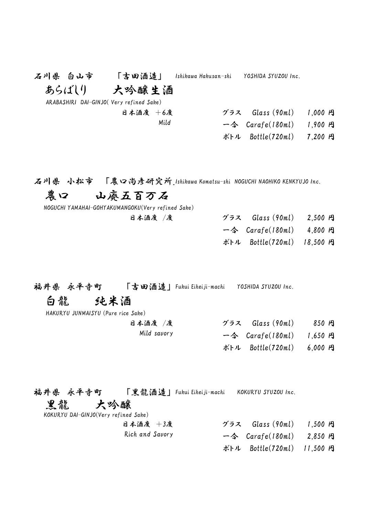| 石川県 白山市                                  | 「吉田酒造」   | Ishikawa Hakusan-shi | YOSHIDA SYUZOU Inc.                       |  |
|------------------------------------------|----------|----------------------|-------------------------------------------|--|
| あらばしり                                    | 大吟醸生酒    |                      |                                           |  |
| ARABASHIRI DAI-GINJO (Very refined Sake) |          |                      |                                           |  |
|                                          | 日本酒度 +6度 |                      | グラス Glass (90ml) 1,000 円                  |  |
|                                          | Mild     |                      | $-\text{\textless}$ Carafe(180ml) 1,900 A |  |
|                                          |          |                      | ボトル Bottle(720ml) 7,200 円                 |  |
|                                          |          |                      |                                           |  |

石川県 小松市 「農口尚彦研究所」Ishikawa Komatsu-shi NOGUCHI NAOHIKO KENKYUJO Inc.

## 農口 山廃五百万石

|  |  | NOGUCHI YAMAHAI-GOHYAKUMANGOKU(Very refined Sake) |  |
|--|--|---------------------------------------------------|--|
|--|--|---------------------------------------------------|--|

| グラス $Glass (90ml)$                                               | $2,500$ $P_1$ |  |
|------------------------------------------------------------------|---------------|--|
| $-\text{\LARGE $\diamond$}$ Carafe(180ml) 4,800 $\text{\LARGE }$ |               |  |
| ボトル Bottle(720ml) 18,500 円                                       |               |  |

福井県 永平寺町 「吉田酒造」 Fukui Eiheiji-machi YOSHIDA SYUZOU Inc.

日本酒度 /度

## 白龍 純米酒

| HAKURYU JUNMAISYU (Pure rice Sake) |  |
|------------------------------------|--|
|------------------------------------|--|

| 日本酒度 /度     | $\check{\mathcal{I}}$ $\exists$ $\lambda$ Glass (90ml)    | 850 A |
|-------------|-----------------------------------------------------------|-------|
| Mild savory | $-\text{\LARGE $\Leftrightarrow$ Carafe(180ml) 1,650 H$}$ |       |

ボトル Bottle(720ml) 6,000 円

福井県 永平寺町 「黒龍酒造」 Fukui Eiheiji-machi KOKURYU SYUZOU Inc. 黒龍 大吟醸 KOKURYU DAI-GINJO(Very refined Sake) 日本酒度 +3度 グラス Glass (90ml) 1,500 円 Rich and Savory  $\triangle$   $Carafe(180ml)$  2,850  $R$ 

ボトル Bottle(720ml) 11,500 円